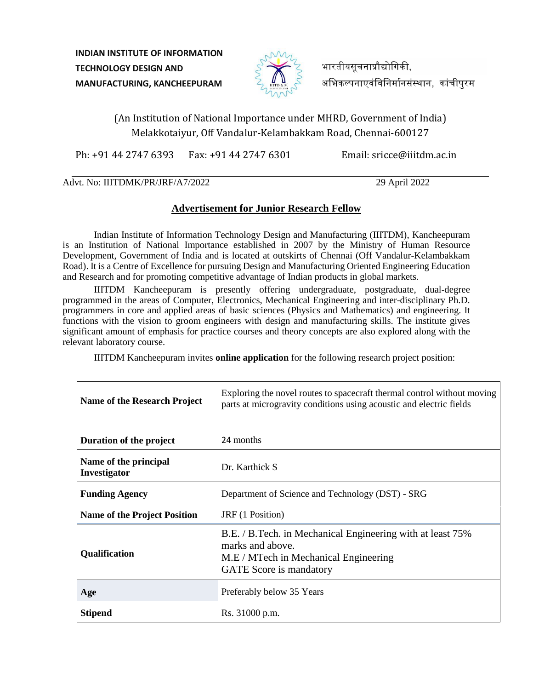**INDIAN INSTITUTE OF INFORMATION TECHNOLOGY DESIGN AND MANUFACTURING, KANCHEEPURAM**



भारतीयसचनाप्रौद्योगिकी. अभिकल्पनाएवंविनिर्मानसंस्थान, कांचीपुरम

# (An Institution of National Importance under MHRD, Government of India) Melakkotaiyur, Off Vandalur-Kelambakkam Road, Chennai-600127

Ph: +91 44 2747 6393 Fax: +91 44 2747 6301 Email: sricce@iiitdm.ac.in

Advt. No: IIITDMK/PR/JRF/A7/2022 29 April 2022

## **Advertisement for Junior Research Fellow**

Indian Institute of Information Technology Design and Manufacturing (IIITDM), Kancheepuram is an Institution of National Importance established in 2007 by the Ministry of Human Resource Development, Government of India and is located at outskirts of Chennai (Off Vandalur-Kelambakkam Road). It is a Centre of Excellence for pursuing Design and Manufacturing Oriented Engineering Education and Research and for promoting competitive advantage of Indian products in global markets.

IIITDM Kancheepuram is presently offering undergraduate, postgraduate, dual-degree programmed in the areas of Computer, Electronics, Mechanical Engineering and inter-disciplinary Ph.D. programmers in core and applied areas of basic sciences (Physics and Mathematics) and engineering. It functions with the vision to groom engineers with design and manufacturing skills. The institute gives significant amount of emphasis for practice courses and theory concepts are also explored along with the relevant laboratory course.

IIITDM Kancheepuram invites **online application** for the following research project position:

| <b>Name of the Research Project</b>   | Exploring the novel routes to spacecraft thermal control without moving<br>parts at microgravity conditions using acoustic and electric fields            |
|---------------------------------------|-----------------------------------------------------------------------------------------------------------------------------------------------------------|
| Duration of the project               | 24 months                                                                                                                                                 |
| Name of the principal<br>Investigator | Dr. Karthick S                                                                                                                                            |
| <b>Funding Agency</b>                 | Department of Science and Technology (DST) - SRG                                                                                                          |
| <b>Name of the Project Position</b>   | JRF (1 Position)                                                                                                                                          |
| Qualification                         | B.E. / B.Tech. in Mechanical Engineering with at least 75%<br>marks and above.<br>M.E / MTech in Mechanical Engineering<br><b>GATE</b> Score is mandatory |
| Age                                   | Preferably below 35 Years                                                                                                                                 |
| <b>Stipend</b>                        | Rs. 31000 p.m.                                                                                                                                            |